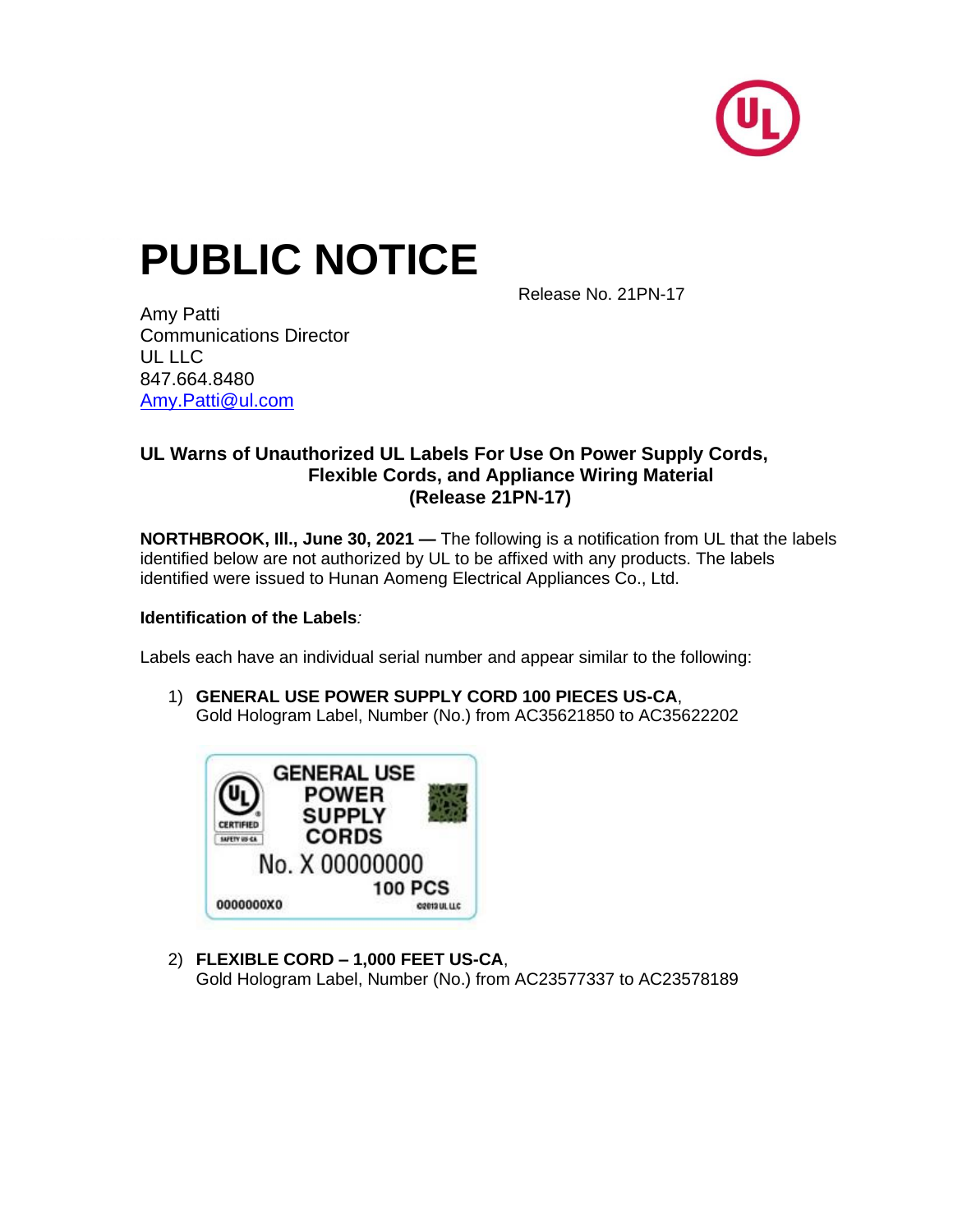

# **PUBLIC NOTICE**

Release No. 21PN-17

Amy Patti Communications Director UL LLC 847.664.8480 [Amy.Patti@ul.com](mailto:Amy.Patti@ul.com)

## **UL Warns of Unauthorized UL Labels For Use On Power Supply Cords, Flexible Cords, and Appliance Wiring Material (Release 21PN-17)**

**NORTHBROOK, Ill., June 30, 2021 —** The following is a notification from UL that the labels identified below are not authorized by UL to be affixed with any products. The labels identified were issued to Hunan Aomeng Electrical Appliances Co., Ltd.

## **Identification of the Labels***:*

Labels each have an individual serial number and appear similar to the following:

1) **GENERAL USE POWER SUPPLY CORD 100 PIECES US-CA**, Gold Hologram Label, Number (No.) from AC35621850 to AC35622202



2) **FLEXIBLE CORD – 1,000 FEET US-CA**, Gold Hologram Label, Number (No.) from AC23577337 to AC23578189